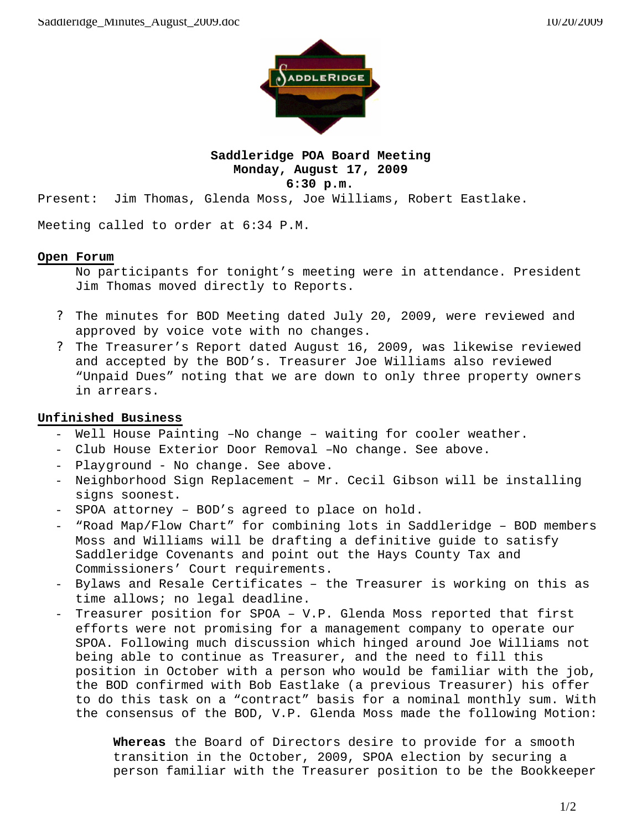

# **Saddleridge POA Board Meeting Monday, August 17, 2009 6:30 p.m.**

Present: Jim Thomas, Glenda Moss, Joe Williams, Robert Eastlake.

Meeting called to order at 6:34 P.M.

#### **Open Forum**

No participants for tonight's meeting were in attendance. President Jim Thomas moved directly to Reports.

- ? The minutes for BOD Meeting dated July 20, 2009, were reviewed and approved by voice vote with no changes.
- ? The Treasurer's Report dated August 16, 2009, was likewise reviewed and accepted by the BOD's. Treasurer Joe Williams also reviewed "Unpaid Dues" noting that we are down to only three property owners in arrears.

# **Unfinished Business**

- Well House Painting  $-No$  change waiting for cooler weather.
- Club House Exterior Door Removal –No change. See above.
- Playground No change. See above.
- Neighborhood Sign Replacement Mr. Cecil Gibson will be installing signs soonest.
- SPOA attorney BOD's agreed to place on hold.
- "Road Map/Flow Chart" for combining lots in Saddleridge BOD members Moss and Williams will be drafting a definitive guide to satisfy Saddleridge Covenants and point out the Hays County Tax and Commissioners' Court requirements.
- Bylaws and Resale Certificates the Treasurer is working on this as time allows; no legal deadline.
- Treasurer position for SPOA V.P. Glenda Moss reported that first efforts were not promising for a management company to operate our SPOA. Following much discussion which hinged around Joe Williams not being able to continue as Treasurer, and the need to fill this position in October with a person who would be familiar with the job, the BOD confirmed with Bob Eastlake (a previous Treasurer) his offer to do this task on a "contract" basis for a nominal monthly sum. With the consensus of the BOD, V.P. Glenda Moss made the following Motion:

**Whereas** the Board of Directors desire to provide for a smooth transition in the October, 2009, SPOA election by securing a person familiar with the Treasurer position to be the Bookkeeper